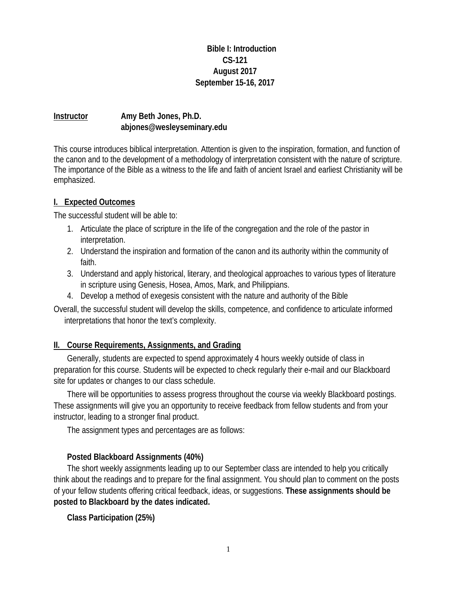#### **Bible I: Introduction CS-121 August 2017 September 15-16, 2017**

### **Instructor Amy Beth Jones, Ph.D. abjones@wesleyseminary.edu**

This course introduces biblical interpretation. Attention is given to the inspiration, formation, and function of the canon and to the development of a methodology of interpretation consistent with the nature of scripture. The importance of the Bible as a witness to the life and faith of ancient Israel and earliest Christianity will be emphasized.

#### **I. Expected Outcomes**

The successful student will be able to:

- 1. Articulate the place of scripture in the life of the congregation and the role of the pastor in interpretation.
- 2. Understand the inspiration and formation of the canon and its authority within the community of faith.
- 3. Understand and apply historical, literary, and theological approaches to various types of literature in scripture using Genesis, Hosea, Amos, Mark, and Philippians.
- 4. Develop a method of exegesis consistent with the nature and authority of the Bible

Overall, the successful student will develop the skills, competence, and confidence to articulate informed interpretations that honor the text's complexity.

### **II. Course Requirements, Assignments, and Grading**

Generally, students are expected to spend approximately 4 hours weekly outside of class in preparation for this course. Students will be expected to check regularly their e-mail and our Blackboard site for updates or changes to our class schedule.

There will be opportunities to assess progress throughout the course via weekly Blackboard postings. These assignments will give you an opportunity to receive feedback from fellow students and from your instructor, leading to a stronger final product.

The assignment types and percentages are as follows:

### **Posted Blackboard Assignments (40%)**

The short weekly assignments leading up to our September class are intended to help you critically think about the readings and to prepare for the final assignment. You should plan to comment on the posts of your fellow students offering critical feedback, ideas, or suggestions. **These assignments should be posted to Blackboard by the dates indicated.**

**Class Participation (25%)**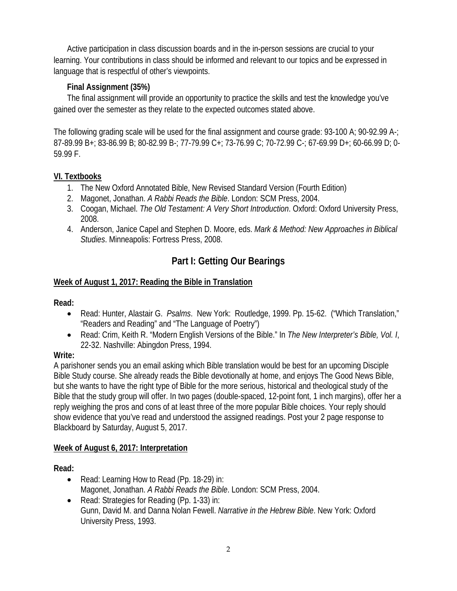Active participation in class discussion boards and in the in-person sessions are crucial to your learning. Your contributions in class should be informed and relevant to our topics and be expressed in language that is respectful of other's viewpoints.

## **Final Assignment (35%)**

The final assignment will provide an opportunity to practice the skills and test the knowledge you've gained over the semester as they relate to the expected outcomes stated above.

The following grading scale will be used for the final assignment and course grade: 93-100 A; 90-92.99 A-; 87-89.99 B+; 83-86.99 B; 80-82.99 B-; 77-79.99 C+; 73-76.99 C; 70-72.99 C-; 67-69.99 D+; 60-66.99 D; 0- 59.99 F.

## **VI. Textbooks**

- 1. The New Oxford Annotated Bible, New Revised Standard Version (Fourth Edition)
- 2. Magonet, Jonathan. *A Rabbi Reads the Bible*. London: SCM Press, 2004.
- 3. Coogan, Michael. *The Old Testament: A Very Short Introduction*. Oxford: Oxford University Press, 2008.
- 4. Anderson, Janice Capel and Stephen D. Moore, eds. *Mark & Method: New Approaches in Biblical Studies*. Minneapolis: Fortress Press, 2008.

# **Part I: Getting Our Bearings**

## **Week of August 1, 2017: Reading the Bible in Translation**

### **Read:**

- Read: Hunter, Alastair G. *Psalms*. New York: Routledge, 1999. Pp. 15-62. ("Which Translation," "Readers and Reading" and "The Language of Poetry")
- Read: Crim, Keith R. "Modern English Versions of the Bible." In *The New Interpreter's Bible, Vol. I*, 22-32. Nashville: Abingdon Press, 1994.

### **Write:**

A parishoner sends you an email asking which Bible translation would be best for an upcoming Disciple Bible Study course. She already reads the Bible devotionally at home, and enjoys The Good News Bible, but she wants to have the right type of Bible for the more serious, historical and theological study of the Bible that the study group will offer. In two pages (double-spaced, 12-point font, 1 inch margins), offer her a reply weighing the pros and cons of at least three of the more popular Bible choices. Your reply should show evidence that you've read and understood the assigned readings. Post your 2 page response to Blackboard by Saturday, August 5, 2017.

### **Week of August 6, 2017: Interpretation**

**Read:** 

- Read: Learning How to Read (Pp. 18-29) in: Magonet, Jonathan. *A Rabbi Reads the Bible*. London: SCM Press, 2004.
- Read: Strategies for Reading (Pp. 1-33) in: Gunn, David M. and Danna Nolan Fewell. *Narrative in the Hebrew Bible*. New York: Oxford University Press, 1993.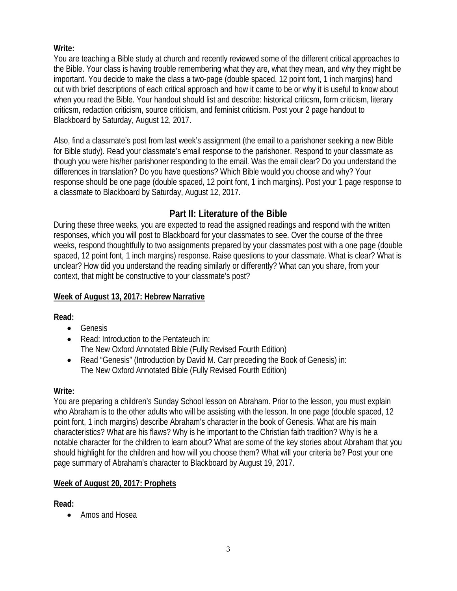### **Write:**

You are teaching a Bible study at church and recently reviewed some of the different critical approaches to the Bible. Your class is having trouble remembering what they are, what they mean, and why they might be important. You decide to make the class a two-page (double spaced, 12 point font, 1 inch margins) hand out with brief descriptions of each critical approach and how it came to be or why it is useful to know about when you read the Bible. Your handout should list and describe: historical criticsm, form criticism, literary criticsm, redaction criticism, source criticism, and feminist criticism. Post your 2 page handout to Blackboard by Saturday, August 12, 2017.

Also, find a classmate's post from last week's assignment (the email to a parishoner seeking a new Bible for Bible study). Read your classmate's email response to the parishoner. Respond to your classmate as though you were his/her parishoner responding to the email. Was the email clear? Do you understand the differences in translation? Do you have questions? Which Bible would you choose and why? Your response should be one page (double spaced, 12 point font, 1 inch margins). Post your 1 page response to a classmate to Blackboard by Saturday, August 12, 2017.

# **Part II: Literature of the Bible**

During these three weeks, you are expected to read the assigned readings and respond with the written responses, which you will post to Blackboard for your classmates to see. Over the course of the three weeks, respond thoughtfully to two assignments prepared by your classmates post with a one page (double spaced, 12 point font, 1 inch margins) response. Raise questions to your classmate. What is clear? What is unclear? How did you understand the reading similarly or differently? What can you share, from your context, that might be constructive to your classmate's post?

## **Week of August 13, 2017: Hebrew Narrative**

**Read:** 

- **•** Genesis
- Read: Introduction to the Pentateuch in: The New Oxford Annotated Bible (Fully Revised Fourth Edition)
- Read "Genesis" (Introduction by David M. Carr preceding the Book of Genesis) in: The New Oxford Annotated Bible (Fully Revised Fourth Edition)

### **Write:**

You are preparing a children's Sunday School lesson on Abraham. Prior to the lesson, you must explain who Abraham is to the other adults who will be assisting with the lesson. In one page (double spaced, 12 point font, 1 inch margins) describe Abraham's character in the book of Genesis. What are his main characteristics? What are his flaws? Why is he important to the Christian faith tradition? Why is he a notable character for the children to learn about? What are some of the key stories about Abraham that you should highlight for the children and how will you choose them? What will your criteria be? Post your one page summary of Abraham's character to Blackboard by August 19, 2017.

# **Week of August 20, 2017: Prophets**

**Read:** 

• Amos and Hosea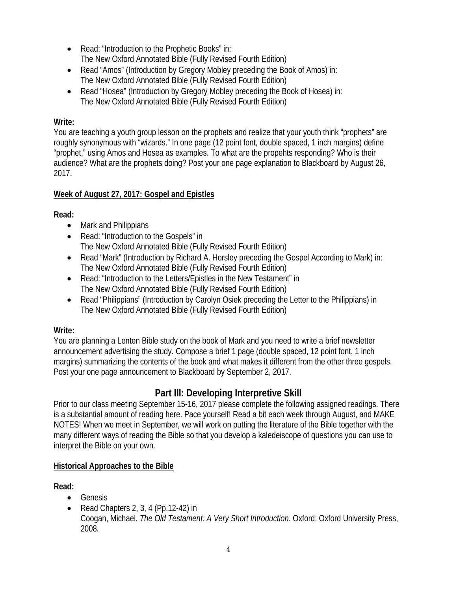- Read: "Introduction to the Prophetic Books" in:
- The New Oxford Annotated Bible (Fully Revised Fourth Edition)
- Read "Amos" (Introduction by Gregory Mobley preceding the Book of Amos) in: The New Oxford Annotated Bible (Fully Revised Fourth Edition)
- Read "Hosea" (Introduction by Gregory Mobley preceding the Book of Hosea) in: The New Oxford Annotated Bible (Fully Revised Fourth Edition)

## **Write:**

You are teaching a youth group lesson on the prophets and realize that your youth think "prophets" are roughly synonymous with "wizards." In one page (12 point font, double spaced, 1 inch margins) define "prophet," using Amos and Hosea as examples. To what are the propehts responding? Who is their audience? What are the prophets doing? Post your one page explanation to Blackboard by August 26, 2017.

# **Week of August 27, 2017: Gospel and Epistles**

**Read:** 

- Mark and Philippians
- Read: "Introduction to the Gospels" in The New Oxford Annotated Bible (Fully Revised Fourth Edition)
- Read "Mark" (Introduction by Richard A. Horsley preceding the Gospel According to Mark) in: The New Oxford Annotated Bible (Fully Revised Fourth Edition)
- Read: "Introduction to the Letters/Epistles in the New Testament" in The New Oxford Annotated Bible (Fully Revised Fourth Edition)
- Read "Philippians" (Introduction by Carolyn Osiek preceding the Letter to the Philippians) in The New Oxford Annotated Bible (Fully Revised Fourth Edition)

### **Write:**

You are planning a Lenten Bible study on the book of Mark and you need to write a brief newsletter announcement advertising the study. Compose a brief 1 page (double spaced, 12 point font, 1 inch margins) summarizing the contents of the book and what makes it different from the other three gospels. Post your one page announcement to Blackboard by September 2, 2017.

# **Part III: Developing Interpretive Skill**

Prior to our class meeting September 15-16, 2017 please complete the following assigned readings. There is a substantial amount of reading here. Pace yourself! Read a bit each week through August, and MAKE NOTES! When we meet in September, we will work on putting the literature of the Bible together with the many different ways of reading the Bible so that you develop a kaledeiscope of questions you can use to interpret the Bible on your own.

# **Historical Approaches to the Bible**

**Read:** 

- Genesis
- Read Chapters 2, 3, 4 (Pp.12-42) in Coogan, Michael. *The Old Testament: A Very Short Introduction*. Oxford: Oxford University Press, 2008.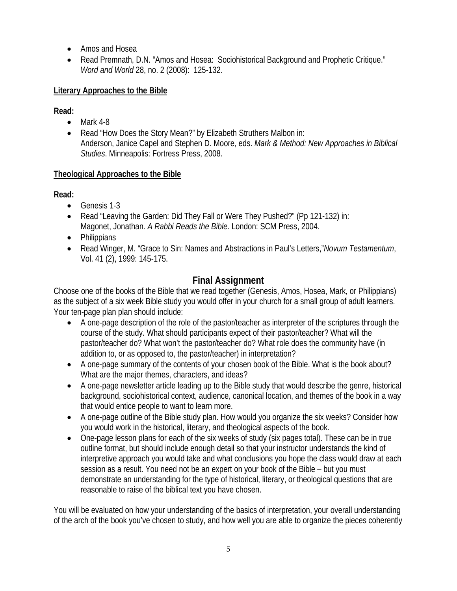- Amos and Hosea
- Read Premnath, D.N. "Amos and Hosea: Sociohistorical Background and Prophetic Critique." *Word and World* 28, no. 2 (2008): 125-132.

### **Literary Approaches to the Bible**

**Read:** 

- $\bullet$  Mark 4-8
- Read "How Does the Story Mean?" by Elizabeth Struthers Malbon in: Anderson, Janice Capel and Stephen D. Moore, eds. *Mark & Method: New Approaches in Biblical Studies*. Minneapolis: Fortress Press, 2008.

## **Theological Approaches to the Bible**

**Read:** 

- Genesis 1-3
- Read "Leaving the Garden: Did They Fall or Were They Pushed?" (Pp 121-132) in: Magonet, Jonathan. *A Rabbi Reads the Bible*. London: SCM Press, 2004.
- Philippians
- Read Winger, M. "Grace to Sin: Names and Abstractions in Paul's Letters,"*Novum Testamentum*, Vol. 41 (2), 1999: 145-175.

# **Final Assignment**

Choose one of the books of the Bible that we read together (Genesis, Amos, Hosea, Mark, or Philippians) as the subject of a six week Bible study you would offer in your church for a small group of adult learners. Your ten-page plan plan should include:

- A one-page description of the role of the pastor/teacher as interpreter of the scriptures through the course of the study. What should participants expect of their pastor/teacher? What will the pastor/teacher do? What won't the pastor/teacher do? What role does the community have (in addition to, or as opposed to, the pastor/teacher) in interpretation?
- A one-page summary of the contents of your chosen book of the Bible. What is the book about? What are the major themes, characters, and ideas?
- A one-page newsletter article leading up to the Bible study that would describe the genre, historical background, sociohistorical context, audience, canonical location, and themes of the book in a way that would entice people to want to learn more.
- A one-page outline of the Bible study plan. How would you organize the six weeks? Consider how you would work in the historical, literary, and theological aspects of the book.
- One-page lesson plans for each of the six weeks of study (six pages total). These can be in true outline format, but should include enough detail so that your instructor understands the kind of interpretive approach you would take and what conclusions you hope the class would draw at each session as a result. You need not be an expert on your book of the Bible – but you must demonstrate an understanding for the type of historical, literary, or theological questions that are reasonable to raise of the biblical text you have chosen.

You will be evaluated on how your understanding of the basics of interpretation, your overall understanding of the arch of the book you've chosen to study, and how well you are able to organize the pieces coherently